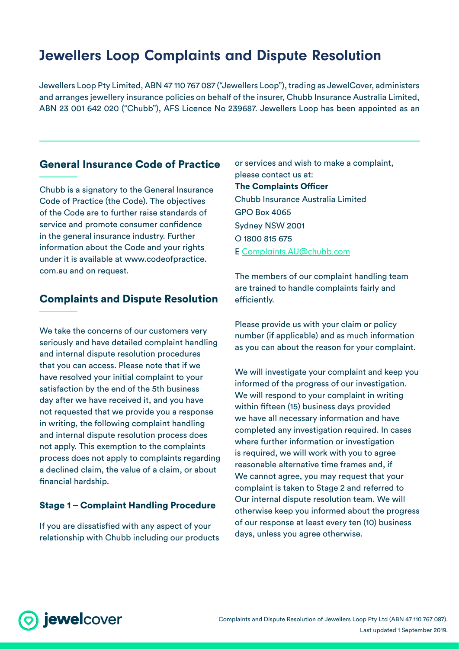# Jewellers Loop Complaints and Dispute Resolution

Jewellers Loop Pty Limited, ABN 47 110 767 087 ("Jewellers Loop"), trading as JewelCover, administers and arranges jewellery insurance policies on behalf of the insurer, Chubb Insurance Australia Limited, ABN 23 001 642 020 ("Chubb"), AFS Licence No 239687. Jewellers Loop has been appointed as an

# General Insurance Code of Practice

Chubb is a signatory to the General Insurance Code of Practice (the Code). The objectives of the Code are to further raise standards of service and promote consumer confidence in the general insurance industry. Further information about the Code and your rights under it is available at www.codeofpractice. com.au and on request.

# Complaints and Dispute Resolution

We take the concerns of our customers very seriously and have detailed complaint handling and internal dispute resolution procedures that you can access. Please note that if we have resolved your initial complaint to your satisfaction by the end of the 5th business day after we have received it, and you have not requested that we provide you a response in writing, the following complaint handling and internal dispute resolution process does not apply. This exemption to the complaints process does not apply to complaints regarding a declined claim, the value of a claim, or about financial hardship.

### Stage 1 – Complaint Handling Procedure

If you are dissatisfied with any aspect of your relationship with Chubb including our products or services and wish to make a complaint, please contact us at: The Complaints Officer Chubb Insurance Australia Limited GPO Box 4065 Sydney NSW 2001 O 1800 815 675 E [Complaints.AU@chubb.com](mailto:Complaints.AU@chubb.com)

The members of our complaint handling team are trained to handle complaints fairly and efficiently.

Please provide us with your claim or policy number (if applicable) and as much information as you can about the reason for your complaint.

We will investigate your complaint and keep you informed of the progress of our investigation. We will respond to your complaint in writing within fifteen (15) business days provided we have all necessary information and have completed any investigation required. In cases where further information or investigation is required, we will work with you to agree reasonable alternative time frames and, if We cannot agree, you may request that your complaint is taken to Stage 2 and referred to Our internal dispute resolution team. We will otherwise keep you informed about the progress of our response at least every ten (10) business days, unless you agree otherwise.

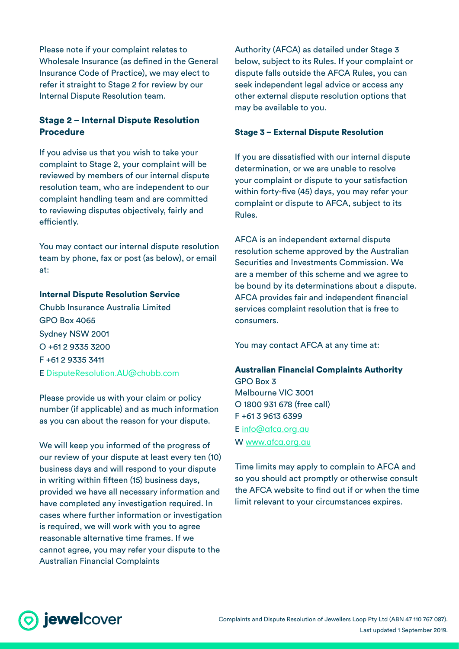Please note if your complaint relates to Wholesale Insurance (as defined in the General Insurance Code of Practice), we may elect to refer it straight to Stage 2 for review by our Internal Dispute Resolution team.

### Stage 2 – Internal Dispute Resolution Procedure

If you advise us that you wish to take your complaint to Stage 2, your complaint will be reviewed by members of our internal dispute resolution team, who are independent to our complaint handling team and are committed to reviewing disputes objectively, fairly and efficiently.

You may contact our internal dispute resolution team by phone, fax or post (as below), or email at:

#### Internal Dispute Resolution Service

Chubb Insurance Australia Limited GPO Box 4065 Sydney NSW 2001  $O + 61$  2 9335 3200 F +61 2 9335 3411 E <DisputeResolution.AU@chubb.com>

Please provide us with your claim or policy number (if applicable) and as much information as you can about the reason for your dispute.

We will keep you informed of the progress of our review of your dispute at least every ten (10) business days and will respond to your dispute in writing within fifteen (15) business days, provided we have all necessary information and have completed any investigation required. In cases where further information or investigation is required, we will work with you to agree reasonable alternative time frames. If we cannot agree, you may refer your dispute to the Australian Financial Complaints

Authority (AFCA) as detailed under Stage 3 below, subject to its Rules. If your complaint or dispute falls outside the AFCA Rules, you can seek independent legal advice or access any other external dispute resolution options that may be available to you.

#### Stage 3 – External Dispute Resolution

If you are dissatisfied with our internal dispute determination, or we are unable to resolve your complaint or dispute to your satisfaction within forty-five (45) days, you may refer your complaint or dispute to AFCA, subject to its Rules.

AFCA is an independent external dispute resolution scheme approved by the Australian Securities and Investments Commission. We are a member of this scheme and we agree to be bound by its determinations about a dispute. AFCA provides fair and independent financial services complaint resolution that is free to consumers.

You may contact AFCA at any time at:

#### Australian Financial Complaints Authority GPO Box 3

Melbourne VIC 3001 O 1800 931 678 (free call) F +61 3 9613 6399

E <info@afca.org.au> W <www.afca.org.au>

Time limits may apply to complain to AFCA and so you should act promptly or otherwise consult the AFCA website to find out if or when the time limit relevant to your circumstances expires.

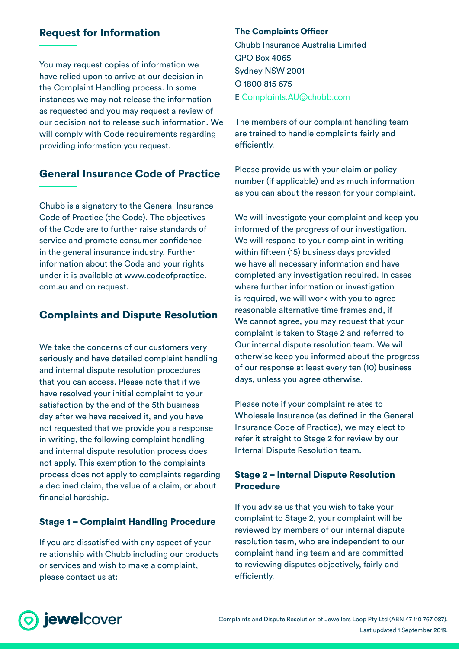# Request for Information

You may request copies of information we have relied upon to arrive at our decision in the Complaint Handling process. In some instances we may not release the information as requested and you may request a review of our decision not to release such information. We will comply with Code requirements regarding providing information you request.

# General Insurance Code of Practice

Chubb is a signatory to the General Insurance Code of Practice (the Code). The objectives of the Code are to further raise standards of service and promote consumer confidence in the general insurance industry. Further information about the Code and your rights under it is available at www.codeofpractice. com.au and on request.

# Complaints and Dispute Resolution

We take the concerns of our customers very seriously and have detailed complaint handling and internal dispute resolution procedures that you can access. Please note that if we have resolved your initial complaint to your satisfaction by the end of the 5th business day after we have received it, and you have not requested that we provide you a response in writing, the following complaint handling and internal dispute resolution process does not apply. This exemption to the complaints process does not apply to complaints regarding a declined claim, the value of a claim, or about financial hardship.

### Stage 1 – Complaint Handling Procedure

If you are dissatisfied with any aspect of your relationship with Chubb including our products or services and wish to make a complaint, please contact us at:

#### The Complaints Officer

Chubb Insurance Australia Limited GPO Box 4065 Sydney NSW 2001 O 1800 815 675 E [Complaints.AU@chubb.com](mailto:Complaints.AU@chubb.com)

The members of our complaint handling team are trained to handle complaints fairly and efficiently.

Please provide us with your claim or policy number (if applicable) and as much information as you can about the reason for your complaint.

We will investigate your complaint and keep you informed of the progress of our investigation. We will respond to your complaint in writing within fifteen (15) business days provided we have all necessary information and have completed any investigation required. In cases where further information or investigation is required, we will work with you to agree reasonable alternative time frames and, if We cannot agree, you may request that your complaint is taken to Stage 2 and referred to Our internal dispute resolution team. We will otherwise keep you informed about the progress of our response at least every ten (10) business days, unless you agree otherwise.

Please note if your complaint relates to Wholesale Insurance (as defined in the General Insurance Code of Practice), we may elect to refer it straight to Stage 2 for review by our Internal Dispute Resolution team.

### Stage 2 – Internal Dispute Resolution Procedure

If you advise us that you wish to take your complaint to Stage 2, your complaint will be reviewed by members of our internal dispute resolution team, who are independent to our complaint handling team and are committed to reviewing disputes objectively, fairly and efficiently.